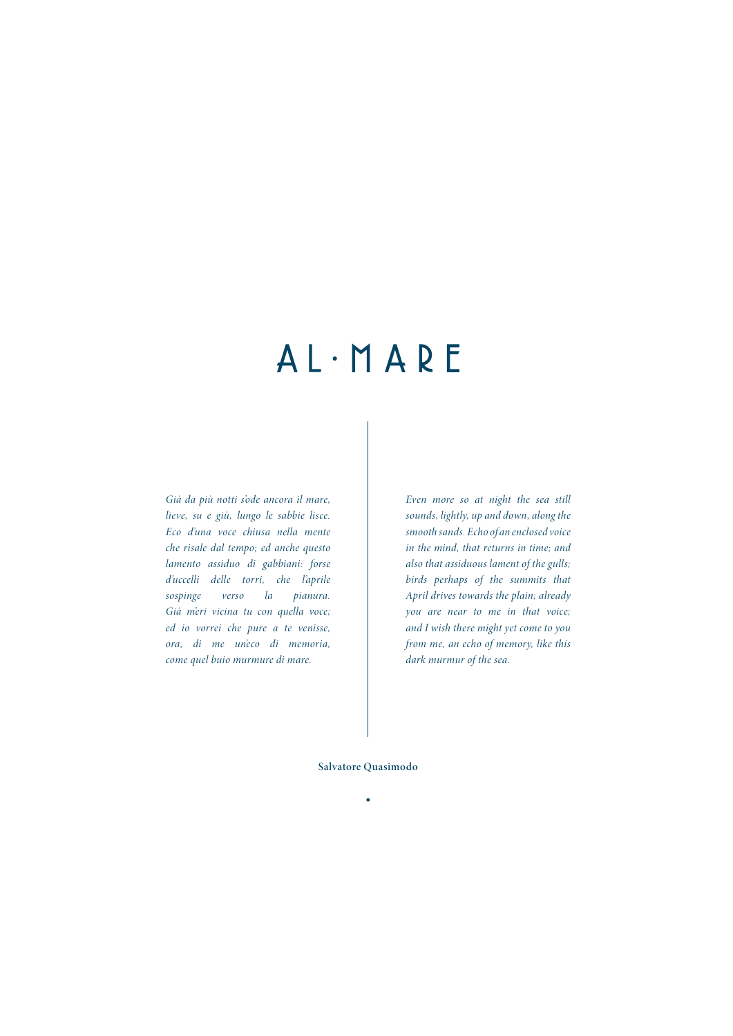## $AL \cdot M A R E$

*Già da più notti s'ode ancora il mare, lieve, su e giù, lungo le sabbie lisce. Eco d'una voce chiusa nella mente che risale dal tempo; ed anche questo lamento assiduo di gabbiani: forse d'uccelli delle torri, che l'aprile sospinge verso la pianura. Già m'eri vicina tu con quella voce; ed io vorrei che pure a te venisse, ora, di me un'eco di memoria, come quel buio murmure di mare.*

*Even more so at night the sea still sounds, lightly, up and down, along the smooth sands. Echo of an enclosed voice in the mind, that returns in time; and also that assiduous lament of the gulls; birds perhaps of the summits that April drives towards the plain; already you are near to me in that voice; and I wish there might yet come to you from me, an echo of memory, like this dark murmur of the sea.*

**Salvatore Quasimodo**

 $\bullet$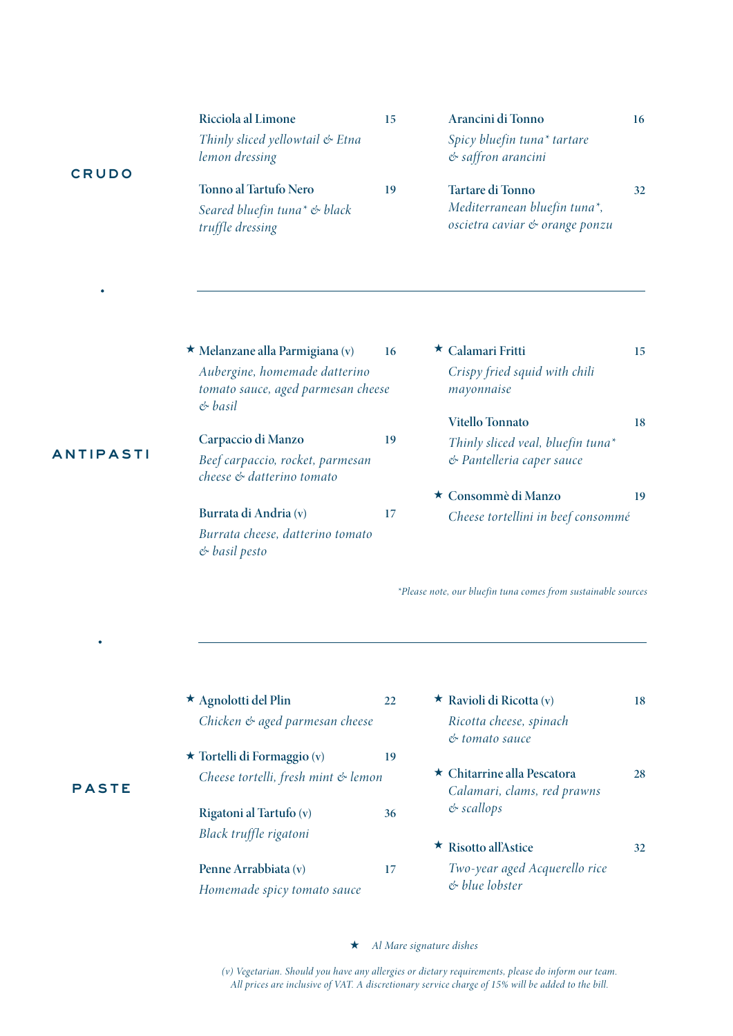| Ricciola al Limone                                           | 15 | Arancini di Tonno                                              | 16 |
|--------------------------------------------------------------|----|----------------------------------------------------------------|----|
| Thinly sliced yellowtail & Etna<br>lemon dressing            |    | Spicy bluefin tuna* tartare<br>& saffron arancini              |    |
| Tonno al Tartufo Nero                                        | 19 | Tartare di Tonno                                               | 32 |
| Seared bluefin tuna <sup>*</sup> & black<br>truffle dressing |    | Mediterranean bluefin tuna*,<br>oscietra caviar & orange ponzu |    |

**Melanzane alla Parmigiana (v) 16** ★ ★ *Aubergine, homemade datterino tomato sauce, aged parmesan cheese & basil*

ANTIPASTI

CRUDO

| Carpaccio di Manzo                                            | 19 |
|---------------------------------------------------------------|----|
| Beef carpaccio, rocket, parmesan<br>cheese & datterino tomato |    |
| Burrata di Andria (v)                                         | 17 |
| Burrata cheese, datterino tomato                              |    |

*& basil pesto*

- **Calamari Fritti 15** *Crispy fried squid with chili mayonnaise* **Vitello Tonnato 18** *Thinly sliced veal, bluefin tuna\**
- *& Pantelleria caper sauce* **Consommè di Manzo 19** ★
	- *Cheese tortellini in beef consommé*

*\*Please note, our bluefin tuna comes from sustainable sources*

| $\star$ Agnolotti del Plin                          | 22 | <b>*</b> Ravioli di Ricotta (v)                            | 18 |
|-----------------------------------------------------|----|------------------------------------------------------------|----|
| Chicken & aged parmesan cheese                      |    | Ricotta cheese, spinach<br>er tomato sauce                 |    |
| $\star$ Tortelli di Formaggio (v)                   | 19 |                                                            |    |
| Cheese tortelli, fresh mint & lemon                 |    | ★ Chitarrine alla Pescatora<br>Calamari, clams, red prawns | 28 |
| Rigatoni al Tartufo (v)                             | 36 | $&$ scallops                                               |    |
| Black truffle rigatoni                              |    | $\star$ Risotto all'Astice                                 | 32 |
| Penne Arrabbiata (v)<br>Homemade spicy tomato sauce | 17 | Two-year aged Acquerello rice<br>$\&$ blue lobster         |    |

*Al Mare signature dishes* ★

*(v) Vegetarian. Should you have any allergies or dietary requirements, please do inform our team. All prices are inclusive of VAT. A discretionary service charge of 15% will be added to the bill.*

## PASTE